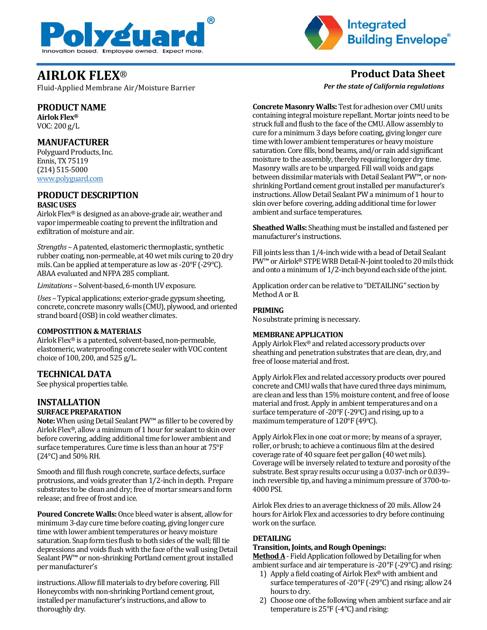



Fluid-Applied Membrane Air/Moisture Barrier

## **PRODUCT NAME**

**AirlokFlex®**  VOC: 200 g/L

## **MANUFACTURER**

Polyguard Products, Inc. Ennis, TX 75119 (214) 515-5000 [www.polyguard.com](http://www.polyguard.com/)

## **PRODUCT DESCRIPTION BASIC USES**

Airlok Flex® is designed as an above-grade air, weather and vapor impermeable coating to prevent the infiltration and exfiltration of moisture and air.

*Strengths –*A patented, elastomeric thermoplastic, synthetic rubber coating, non-permeable, at 40 wet mils curing to 20 dry mils. Can be applied at temperature as low as -20°F (-29°C). ABAA evaluated and NFPA 285 compliant.

*Limitations –* Solvent-based, 6-month UV exposure.

*Uses –* Typical applications; exterior-grade gypsum sheeting, concrete, concrete masonry walls (CMU), plywood, and oriented strand board (OSB) in cold weather climates.

#### **COMPOSTITION & MATERIALS**

Airlok Flex® is a patented, solvent-based, non-permeable, elastomeric, waterproofing concrete sealer with VOC content choice of 100, 200, and 525 g/L.

## **TECHNICAL DATA**

See physical properties table.

### **INSTALLATION SURFACE PREPARATION**

**Note:** When using Detail Sealant PW™ as filler to be covered by Airlok Flex®, allow a minimum of 1 hour for sealant to skin over before covering, adding additional time for lower ambient and surface temperatures. Cure time is less than an hour at 75°F (24°C) and 50% RH.

Smooth and fill flush rough concrete, surface defects, surface protrusions, and voids greater than 1/2-inch in depth. Prepare substrates to be clean and dry; free of mortar smears and form release; and free of frost and ice.

**Poured Concrete Walls:** Once bleed water is absent, allow for minimum 3-day cure time before coating, giving longer cure time with lower ambient temperatures or heavy moisture saturation. Snap form ties flush to both sides of the wall; fill tie depressions and voids flush with the face of the wall using Detail Sealant PW™ or non-shrinking Portland cement grout installed per manufacturer's

instructions. Allow fill materials to dry before covering. Fill Honeycombs with non-shrinking Portland cement grout, installed per manufacturer's instructions, and allow to thoroughly dry.

**AIRLOK FLEX**® **Product Data Sheet**

*Per the state of California regulations*

**Concrete Masonry Walls:** Test for adhesion over CMU units containing integral moisture repellant. Mortar joints need to be struck full and flush to the face of the CMU. Allow assembly to cure for a minimum 3 days before coating, giving longer cure time with lower ambient temperatures or heavy moisture saturation. Core fills, bond beams, and/or rain add significant moisture to the assembly, thereby requiring longer dry time. Masonry walls are to be unparged. Fill wall voids and gaps between dissimilar materials with Detail Sealant PW™, or nonshrinking Portland cement grout installed per manufacturer's instructions. Allow Detail Sealant PW a minimum of 1 hour to skin over before covering, adding additional time for lower ambient and surface temperatures.

**Sheathed Walls:** Sheathing must be installed and fastened per manufacturer's instructions.

Fill joints less than 1/4-inch wide with a bead of Detail Sealant PW™ or Airlok® STPE WRB Detail-N-Joint tooled to 20 mils thick and onto a minimum of 1/2-inch beyond each side of the joint.

Application order can be relative to "DETAILING" section by Method A or B.

### **PRIMING**

No substrate priming is necessary.

#### **MEMBRANE APPLICATION**

Apply Airlok Flex® and related accessory products over sheathing and penetration substrates that are clean, dry, and free of loose material and frost.

Apply Airlok Flex and related accessory products over poured concrete and CMU walls that have cured three days minimum, are clean and less than 15% moisture content, and free of loose material and frost. Apply in ambient temperatures and on a surface temperature of -20°F (-29ºC) and rising, up to a maximum temperature of 120°F (49ºC).

Apply Airlok Flex in one coat or more; by means of a sprayer, roller, or brush; to achieve a continuous film at the desired coverage rate of 40 square feet per gallon (40 wet mils). Coverage will be inversely related to texture and porosity of the substrate. Best spray results occur using a 0.037-inch or 0.039– inch reversible tip, and having a minimum pressure of 3700-to-4000 PSI.

Airlok Flex dries to an average thickness of 20 mils. Allow 24 hours for Airlok Flex and accessories to dry before continuing work on the surface.

## **DETAILING**

### **Transition, Joints, and Rough Openings:**

**Method A**- Field Application followed by Detailing for when ambient surface and air temperature is -20°F (-29°C) and rising:

- 1) Apply a field coating of Airlok Flex® with ambient and surface temperatures of -20°F (-29°C) and rising; allow 24 hours to dry.
- 2) Choose one of the following when ambient surface and air temperature is 25°F (-4°C) and rising: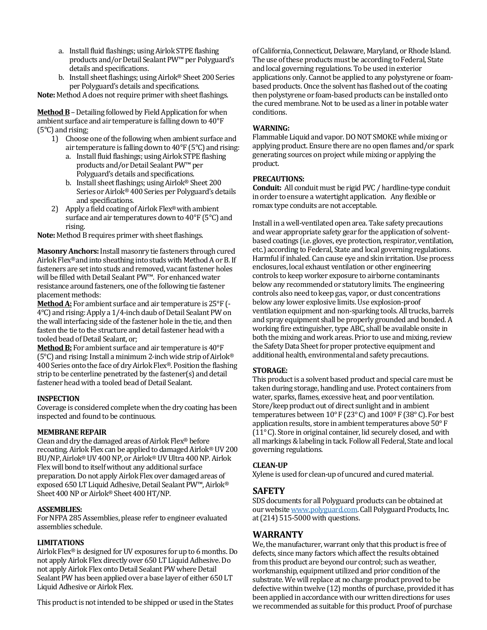- a. Install fluid flashings; using Airlok STPE flashing products and/or Detail Sealant PW™per Polyguard's details and specifications.
- b. Install sheet flashings; usingAirlok® Sheet 200 Series per Polyguard's details and specifications.

**Note:** Method A does not require primer with sheet flashings.

**Method B**–Detailing followed by Field Application for when ambient surface and air temperature is falling down to 40°F (5°C) and rising:

- 1) Choose one of the following when ambient surface and air temperature is falling down to 40°F (5°C) and rising:
	- a. Install fluid flashings; using Airlok STPE flashing products and/or Detail Sealant PW™ per Polyguard's details and specifications.
	- b. Install sheet flashings; using Airlok® Sheet 200 Series or Airlok® 400 Series per Polyguard's details and specifications.
- 2) Apply a field coating of Airlok Flex®with ambient surface and air temperatures down to 40°F (5°C) and rising.

**Note:** Method B requires primer with sheet flashings.

**Masonry Anchors:**Install masonry tie fasteners through cured Airlok Flex® and into sheathing into studs with Method A or B. If fasteners are set into studs and removed, vacant fastener holes will be filled with Detail Sealant PW™. For enhanced water resistance around fasteners, one of the following tie fastener placement methods:

**Method A:** For ambient surface and air temperature is 25°F (- 4°C) and rising:Apply a 1/4-inch daub of Detail Sealant PW on the wall interfacing side of the fastener hole in the tie, and then fasten the tie to the structure and detail fastener head with a tooled bead of Detail Sealant, or;

**Method B:** For ambient surface and air temperature is 40°F (5 $^{\circ}$ C) and rising: Install a minimum 2-inch wide strip of Airlok® 400 Series onto the face of dry Airlok Flex®. Position the flashing strip to be centerline penetrated by the fastener(s) and detail fastener head with a tooled bead of Detail Sealant.

#### **INSPECTION**

Coverage is considered complete when the dry coating has been inspected and found to be continuous.

#### **MEMBRANE REPAIR**

Clean and dry the damaged areas of Airlok Flex® before recoating. Airlok Flex can be applied to damaged Airlok® UV 200 BU/NP, Airlok® UV 400 NP, or Airlok® UV Ultra 400 NP. Airlok Flex will bond to itself without any additional surface preparation. Do not apply Airlok Flex over damaged areas of exposed 650 LT Liquid Adhesive, Detail Sealant PW™, Airlok® Sheet 400 NP or Airlok® Sheet 400 HT/NP.

#### **ASSEMBLIES:**

For NFPA 285 Assemblies, please refer to engineer evaluated assemblies schedule.

#### **LIMITATIONS**

Airlok Flex® is designed for UV exposures for up to 6 months. Do not apply Airlok Flex directly over 650 LT Liquid Adhesive. Do not apply Airlok Flex onto Detail Sealant PW where Detail Sealant PW has been applied over a base layer of either 650 LT Liquid Adhesive or Airlok Flex.

This product is not intended to be shipped or used in the States

of California, Connecticut, Delaware, Maryland, or Rhode Island. The use of these products must be according to Federal, State and local governing regulations. To be used in exterior applications only. Cannot be applied to any polystyrene or foambased products. Once the solvent has flashed out of the coating then polystyrene or foam-based products can be installed onto the cured membrane. Not to be used as a liner in potable water conditions.

#### **WARNING:**

Flammable Liquid and vapor. DO NOT SMOKE while mixing or applying product. Ensure there are no open flames and/or spark generating sources on project while mixing or applying the product.

#### **PRECAUTIONS:**

**Conduit:** All conduit must be rigid PVC / hardline-type conduit in order to ensure a watertight application. Any flexible or romax type conduits are not acceptable.

Install in a well-ventilated open area. Take safety precautions and wear appropriate safety gear for the application of solventbased coatings (i.e. gloves, eye protection, respirator, ventilation, etc.) according to Federal, State and local governing regulations. Harmful if inhaled. Can cause eye and skin irritation. Use process enclosures, local exhaust ventilation or other engineering controls to keep worker exposure to airborne contaminants below any recommended or statutory limits. The engineering controls also need to keep gas, vapor, or dust concentrations below any lower explosive limits. Use explosion-proof ventilation equipment and non-sparking tools. All trucks, barrels and spray equipment shall be properly grounded and bonded. A working fire extinguisher, type ABC, shall be available onsite in both the mixing and work areas. Prior to use and mixing, review the Safety Data Sheet for proper protective equipment and additional health, environmental and safety precautions.

#### **STORAGE:**

This product is a solvent based product and special care must be taken during storage, handling and use. Protect containers from water, sparks, flames, excessive heat, and poor ventilation. Store/keep product out of direct sunlight and in ambient temperatures between 10° F (23° C) and 100º F (38° C). For best application results, store in ambient temperatures above 50° F (11° C). Store in original container, lid securely closed, and with all markings & labeling in tack. Follow all Federal, State and local governing regulations.

#### **CLEAN-UP**

Xylene is used for clean-up of uncured and cured material.

#### **SAFETY**

SDS documents for all Polyguard products can be obtained at our websit[e www.polyguard.com.](http://www.polyguard.com/) Call Polyguard Products, Inc. at (214) 515-5000 with questions.

## **WARRANTY**

We, the manufacturer, warrant only that this product is free of defects, since many factors which affect the results obtained from this product are beyond our control; such as weather, workmanship, equipment utilized and prior condition of the substrate. We will replace at no charge product proved to be defective within twelve (12) months of purchase, provided it has been applied in accordance with our written directions for uses we recommended as suitable for this product. Proof of purchase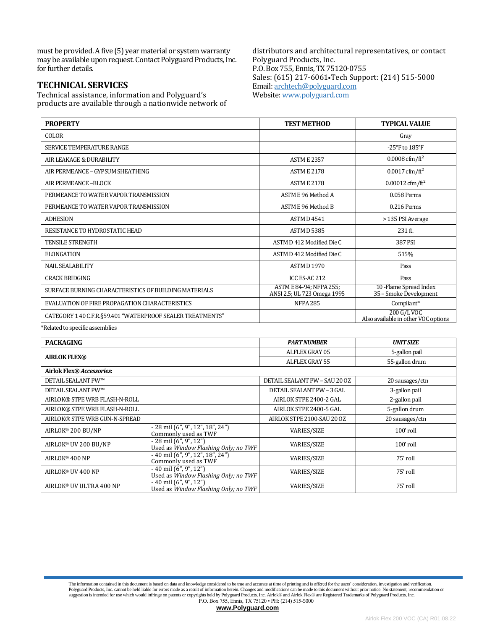must be provided. A five (5) year material or system warranty may be available upon request. Contact Polyguard Products, Inc. for further details.

## **TECHNICAL SERVICES**

Technical assistance, information and Polyguard's products are available through a nationwide network of distributors and architectural representatives, or contact Polyguard Products, Inc. P.O. Box 755, Ennis, TX 75120-0755 Sales: (615) 217-6061•Tech Support: (214) 515-5000 Email: [archtech@polyguard.com](mailto:archtech@polyguard.com) Website: [www.polyguard.com](http://www.polyguard.com/)

| <b>PROPERTY</b>                                            | <b>TEST METHOD</b>                                     | <b>TYPICAL VALUE</b>                               |
|------------------------------------------------------------|--------------------------------------------------------|----------------------------------------------------|
| <b>COLOR</b>                                               |                                                        | Gray                                               |
| <b>SERVICE TEMPERATURE RANGE</b>                           |                                                        | -25°F to $185$ °F                                  |
| AIR LEAKAGE & DURABILITY                                   | <b>ASTM E 2357</b>                                     | 0.0008 cfm/ft <sup>2</sup>                         |
| AIR PERMEANCE - GYPSUM SHEATHING                           | <b>ASTM E 2178</b>                                     | $0.0017 \text{ cfm}/\text{ft}^2$                   |
| AIR PERMEANCE-BLOCK                                        | <b>ASTM E 2178</b>                                     | $0.00012 \text{ cfm}/\text{ft}^2$                  |
| PERMEANCE TO WATER VAPOR TRANSMISSION                      | ASTM E 96 Method A                                     | 0.058 Perms                                        |
| PERMEANCE TO WATER VAPOR TRANSMISSION                      | ASTM E 96 Method B                                     | 0.216 Perms                                        |
| <b>ADHESION</b>                                            | <b>ASTM D 4541</b>                                     | > 135 PSI Average                                  |
| RESISTANCE TO HYDROSTATIC HEAD                             | <b>ASTM D 5385</b>                                     | $231$ ft.                                          |
| <b>TENSILE STRENGTH</b>                                    | ASTM D 412 Modified Die C                              | 387 PSI                                            |
| <b>ELONGATION</b>                                          | ASTM D 412 Modified Die C                              | 515%                                               |
| <b>NAIL SEALABILITY</b>                                    | <b>ASTM D1970</b>                                      | Pass                                               |
| <b>CRACK BRIDGING</b>                                      | ICC ES-AC 212                                          | Pass                                               |
| SURFACE BURNING CHARACTERISTICS OF BUILDING MATERIALS      | ASTM E 84-94; NFPA 255;<br>ANSI 2.5; UL 723 Omega 1995 | 10 - Flame Spread Index<br>35 - Smoke Development  |
| EVALUATION OF FIRE PROPAGATION CHARACTERISTICS             | <b>NFPA 285</b>                                        | Compliant*                                         |
| CATEGORY 1 40 C.F.R.§59.401 "WATERPROOF SEALER TREATMENTS" |                                                        | 200 G/L VOC<br>Also available in other VOC options |

\*Related to specific assemblies

| <b>PACKAGING</b>                 |                                                                   | <b>PART NUMBER</b>               | <b>UNIT SIZE</b> |  |
|----------------------------------|-------------------------------------------------------------------|----------------------------------|------------------|--|
| <b>AIRLOK FLEX®</b>              |                                                                   | ALFLEX GRAY 05                   | 5-gallon pail    |  |
|                                  |                                                                   | ALFLEX GRAY 55                   | 55-gallon drum   |  |
| <b>Airlok Flex® Accessories:</b> |                                                                   |                                  |                  |  |
| <b>DETAIL SEALANT PW™</b>        |                                                                   | DETAIL SEALANT PW - SAU 20 OZ    | 20 sausages/ctn  |  |
| <b>DETAIL SEALANT PW™</b>        |                                                                   | <b>DETAIL SEALANT PW - 3 GAL</b> | 3-gallon pail    |  |
| AIRLOK® STPE WRB FLASH-N-ROLL    |                                                                   | AIRLOK STPE 2400-2 GAL           | 2-gallon pail    |  |
| AIRLOK® STPE WRB FLASH-N-ROLL    |                                                                   | AIRLOK STPE 2400-5 GAL           | 5-gallon drum    |  |
| AIRLOK® STPE WRB GUN-N-SPREAD    |                                                                   | AIRLOK STPE 2100-SAU 20 OZ       | 20 sausages/ctn  |  |
| AIRLOK® 200 BU/NP                | - 28 mil (6", 9", 12", 18", 24")<br>Commonly used as TWF          | <b>VARIES/SIZE</b>               | $100'$ roll      |  |
| AIRLOK® UV 200 BU/NP             | $-28$ mil $(6", 9", 12")$<br>Used as Window Flashing Only; no TWF | <b>VARIES/SIZE</b>               | $100'$ roll      |  |
| AIRLOK <sup>®</sup> 400 NP       | $-40$ mil $(6", 9", 12", 18", 24")$<br>Commonly used as TWF       | <b>VARIES/SIZE</b>               | 75' roll         |  |
| AIRLOK <sup>®</sup> UV 400 NP    | $-40$ mil $(6", 9", 12")$<br>Used as Window Flashing Only; no TWF | <b>VARIES/SIZE</b>               | 75' roll         |  |
| AIRLOK® UV ULTRA 400 NP          | $-40$ mil $(6", 9", 12")$<br>Used as Window Flashing Only; no TWF | <b>VARIES/SIZE</b>               | 75' roll         |  |

The information contained in this document is based on data and knowledge considered to be true and accurate at time of printing and is offered for the users' consideration, investigation and verification. Polyguard Products, Inc. cannot be held liable for errors made as a result of information herein. Changes and modifications can be made to this document without prior notice. No statement, recommendation or<br>suggestion is i P.O. Box 755, Ennis, TX 75120 • PH: (214) 515-5000

**[www.Polyguard.com](http://www.polyguard.com/)**